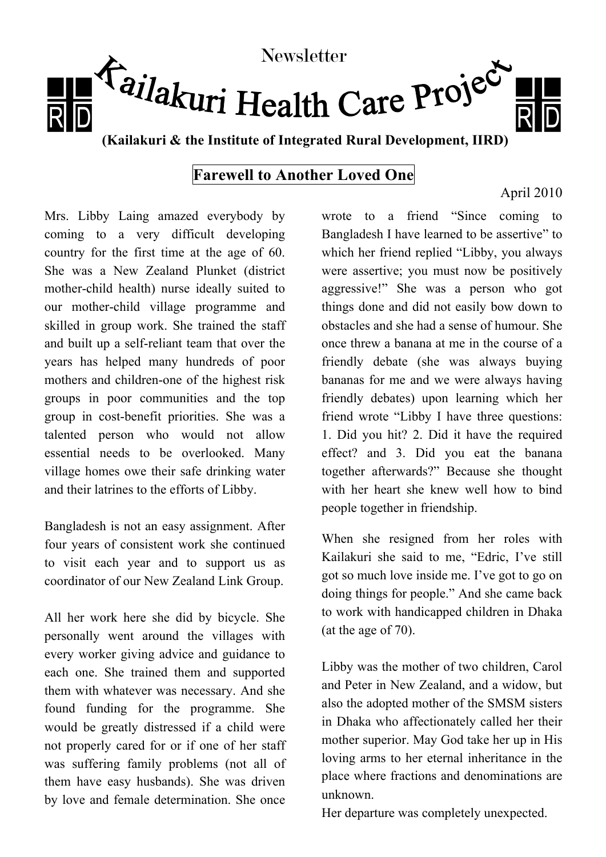

## **Farewell to Another Loved One**

## Mrs. Libby Laing amazed everybody by coming to a very difficult developing country for the first time at the age of 60. She was a New Zealand Plunket (district mother-child health) nurse ideally suited to our mother-child village programme and skilled in group work. She trained the staff and built up a self-reliant team that over the years has helped many hundreds of poor mothers and children-one of the highest risk groups in poor communities and the top group in cost-benefit priorities. She was a talented person who would not allow essential needs to be overlooked. Many village homes owe their safe drinking water and their latrines to the efforts of Libby.

Bangladesh is not an easy assignment. After four years of consistent work she continued to visit each year and to support us as coordinator of our New Zealand Link Group.

All her work here she did by bicycle. She personally went around the villages with every worker giving advice and guidance to each one. She trained them and supported them with whatever was necessary. And she found funding for the programme. She would be greatly distressed if a child were not properly cared for or if one of her staff was suffering family problems (not all of them have easy husbands). She was driven by love and female determination. She once

wrote to a friend "Since coming to Bangladesh I have learned to be assertive" to which her friend replied "Libby, you always were assertive; you must now be positively aggressive!" She was a person who got things done and did not easily bow down to obstacles and she had a sense of humour. She once threw a banana at me in the course of a friendly debate (she was always buying bananas for me and we were always having friendly debates) upon learning which her friend wrote "Libby I have three questions: 1. Did you hit? 2. Did it have the required effect? and 3. Did you eat the banana together afterwards?" Because she thought with her heart she knew well how to bind people together in friendship.

When she resigned from her roles with Kailakuri she said to me, "Edric, I've still got so much love inside me. I've got to go on doing things for people." And she came back to work with handicapped children in Dhaka (at the age of 70).

Libby was the mother of two children, Carol and Peter in New Zealand, and a widow, but also the adopted mother of the SMSM sisters in Dhaka who affectionately called her their mother superior. May God take her up in His loving arms to her eternal inheritance in the place where fractions and denominations are unknown.

Her departure was completely unexpected.

## April 2010